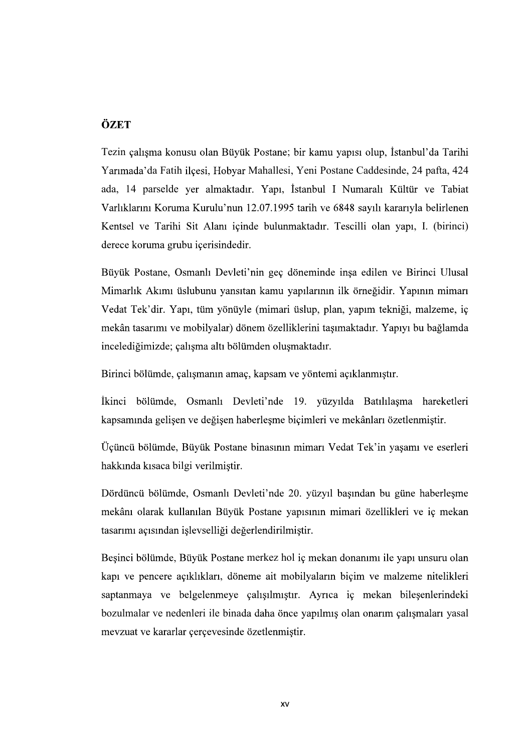## ÖZET

Tezin çalışma konusu olan Büyük Postane; bir kamu yapısı olup, İstanbul'da Tarihi Yarımada'da Fatih ilçesi, Hobyar Mahallesi, Yeni Postane Caddesinde, 24 pafta, 424 ada, 14 parselde yer almaktadır. Yapı, İstanbul I Numaralı Kültür ve Tabiat Varlıklarını Koruma Kurulu'nun 12.07.1995 tarih ve 6848 sayılı kararıyla belirlenen Kentsel ve Tarihi Sit Alanı içinde bulunmaktadır. Tescilli olan yapı, I. (birinci) derece koruma grubu içerisindedir.

Büyük Postane, Osmanlı Devleti'nin geç döneminde inşa edilen ve Birinci Ulusal Mimarlık Akımı üslubunu yansıtan kamu yapılarının ilk örneğidir. Yapının mimarı Vedat Tek'dir. Yapı, tüm yönüyle (mimari üslup, plan, yapım tekniği, malzeme, iç mekân tasarımı ve mobilyalar) dönem özelliklerini tasımaktadır. Yapıyı bu bağlamda incelediğimizde; çalışma altı bölümden oluşmaktadır.

Birinci bölümde, çalışmanın amaç, kapsam ve yöntemi açıklanmıştır.

İkinci bölümde, Osmanlı Devleti'nde 19. yüzyılda Batılılaşma hareketleri kapsamında gelişen ve değişen haberleşme biçimleri ve mekânları özetlenmiştir.

Üçüncü bölümde, Büyük Postane binasının mimarı Vedat Tek'in yaşamı ve eserleri hakkında kısaca bilgi verilmiştir.

Dördüncü bölümde, Osmanlı Devleti'nde 20. yüzyıl başından bu güne haberleşme mekânı olarak kullanılan Büyük Postane yapısının mimari özellikleri ve iç mekan tasarımı açısından işlevselliği değerlendirilmiştir.

Beşinci bölümde, Büyük Postane merkez hol iç mekan donanımı ile yapı unsuru olan kapı ve pencere açıklıkları, döneme ait mobilyaların biçim ve malzeme nitelikleri<br>saptanmaya ve belgelenmeye çalışılmıştır. Ayrıca iç mekan bileşenlerindeki<br>bozulmalar ve nedenleri ile binada daha önce yapılmış olan onarım mevzuat ve kararlar cercevesinde özetlenmistir.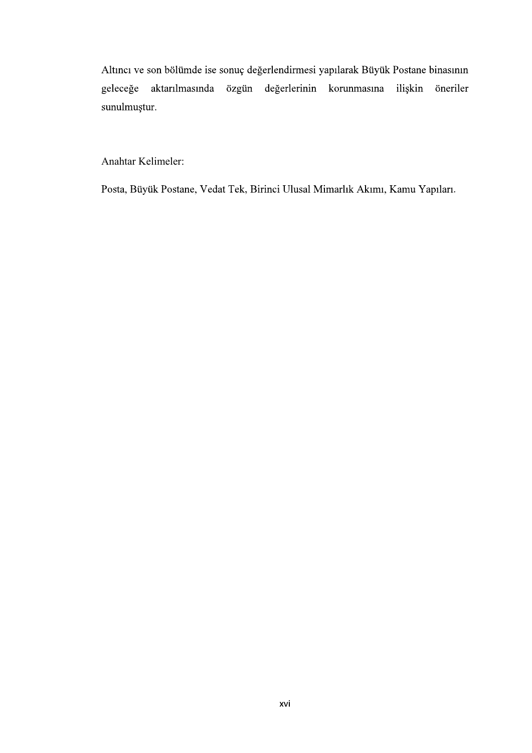Altıncı ve son bölümde ise sonuç değerlendirmesi yapılarak Büyük Postane binasının aktarılmasında özgün değerlerinin korunmasına geleceğe ilişkin öneriler sunulmuştur.

Anahtar Kelimeler:

Posta, Büyük Postane, Vedat Tek, Birinci Ulusal Mimarlık Akımı, Kamu Yapıları.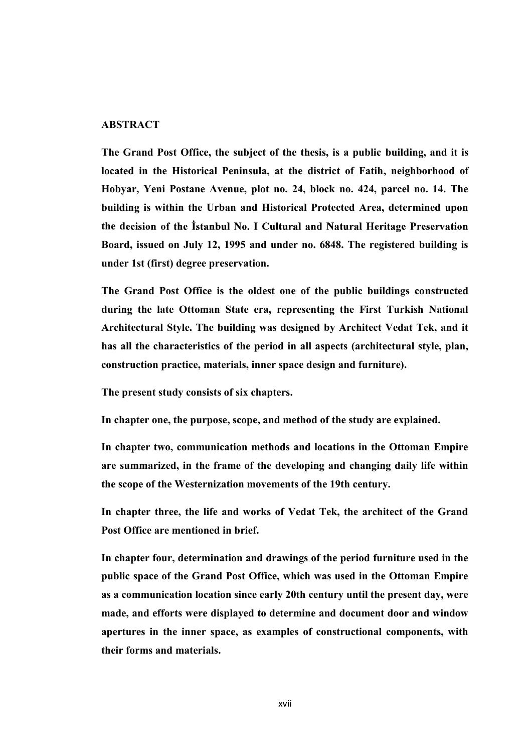## **ABSTRACT**

The Grand Post Office, the subject of the thesis, is a public building, and it is located in the Historical Peninsula, at the district of Fatih, neighborhood of Hobyar, Yeni Postane Avenue, plot no. 24, block no. 424, parcel no. 14. The building is within the Urban and Historical Protected Area, determined upon the decision of the Istanbul No. I Cultural and Natural Heritage Preservation Board, issued on July 12, 1995 and under no. 6848. The registered building is under 1st (first) degree preservation.

The Grand Post Office is the oldest one of the public buildings constructed during the late Ottoman State era, representing the First Turkish National Architectural Style. The building was designed by Architect Vedat Tek, and it has all the characteristics of the period in all aspects (architectural style, plan, construction practice, materials, inner space design and furniture).

The present study consists of six chapters.

In chapter one, the purpose, scope, and method of the study are explained.

In chapter two, communication methods and locations in the Ottoman Empire are summarized, in the frame of the developing and changing daily life within the scope of the Westernization movements of the 19th century.

In chapter three, the life and works of Vedat Tek, the architect of the Grand Post Office are mentioned in brief.

In chapter four, determination and drawings of the period furniture used in the public space of the Grand Post Office, which was used in the Ottoman Empire as a communication location since early 20th century until the present day, were made, and efforts were displayed to determine and document door and window apertures in the inner space, as examples of constructional components, with their forms and materials.